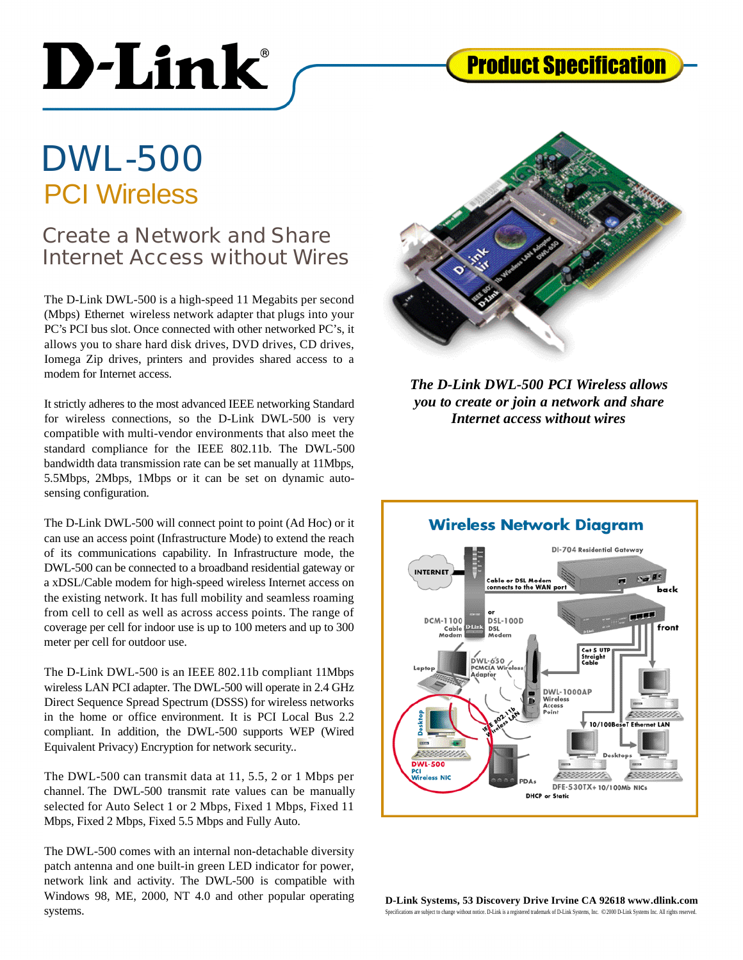# D-Link®

#### **Product Specification**

### **DWL-500 PCI Wireless**

#### **Create a Network and Share Internet Access without Wires**

The D-Link DWL-500 is a high-speed 11 Megabits per second (Mbps) Ethernet wireless network adapter that plugs into your PC's PCI bus slot. Once connected with other networked PC's, it allows you to share hard disk drives, DVD drives, CD drives, Iomega Zip drives, printers and provides shared access to a modem for Internet access.

It strictly adheres to the most advanced IEEE networking Standard for wireless connections, so the D-Link DWL-500 is very compatible with multi-vendor environments that also meet the standard compliance for the IEEE 802.11b. The DWL-500 bandwidth data transmission rate can be set manually at 11Mbps, 5.5Mbps, 2Mbps, 1Mbps or it can be set on dynamic autosensing configuration.

The D-Link DWL-500 will connect point to point (Ad Hoc) or it can use an access point (Infrastructure Mode) to extend the reach of its communications capability. In Infrastructure mode, the DWL-500 can be connected to a broadband residential gateway or a xDSL/Cable modem for high-speed wireless Internet access on the existing network. It has full mobility and seamless roaming from cell to cell as well as across access points. The range of coverage per cell for indoor use is up to 100 meters and up to 300 meter per cell for outdoor use.

The D-Link DWL-500 is an IEEE 802.11b compliant 11Mbps wireless LAN PCI adapter. The DWL-500 will operate in 2.4 GHz Direct Sequence Spread Spectrum (DSSS) for wireless networks in the home or office environment. It is PCI Local Bus 2.2 compliant. In addition, the DWL-500 supports WEP (Wired Equivalent Privacy) Encryption for network security. .

The DWL-500 can transmit data at 11, 5.5, 2 or 1 Mbps per channel. The DWL-500 transmit rate values can be manually selected for Auto Select 1 or 2 Mbps, Fixed 1 Mbps, Fixed 11 Mbps, Fixed 2 Mbps, Fixed 5.5 Mbps and Fully Auto.

The DWL-500 comes with an internal non-detachable diversity patch antenna and one built-in green LED indicator for power, network link and activity. The DWL-500 is compatible with Windows 98, ME, 2000, NT 4.0 and other popular operating systems.



*The D-Link DWL-500 PCI Wireless allows you to create or join a network and share Internet access without wires*



**D-Link Systems, 53 Discovery Drive Irvine CA 92618 www.dlink.com** Specifications are subject to change without notice. D-Link is a registered trademark of D-Link Systems, Inc. ©2000 D-Link Systems Inc. All rights reserved.